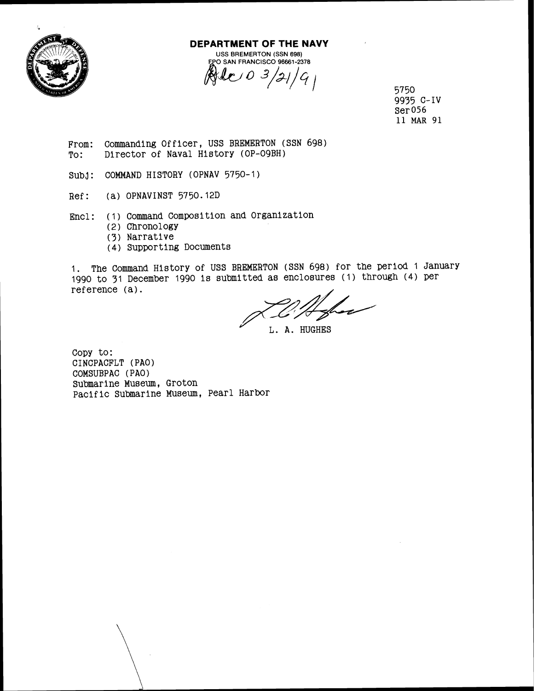

## **DEPARTMENT OF THE NAVY**  USS BREMERTON (SSN 698)<br>PO SAN FRANCISCO 96661-2378

 $\mathcal{C}$  0 3/21/9<sub>1</sub>

5750 9935 c-IV Ser 056 11 MAR 91

- From: Commanding Officer, USS BREMERTON (SSN 698)<br>To: Director of Naval History (OP-09BH) Director of Naval History (OP-09BH)
- SUbJ: COMMAND HISTORY (OPNAV 5750-1)
- Ref: (a) OPNAVINST 5750.12D
- Encl: (1) Command Composition and Organization
	- (2) Chronology
	- (3) Narrative
	- (4) Supporting Documents

1. The Command History of USS BREMERTON (SSN 698) for the period 1 January 1990 to 31 December 1990 is submitted as enclosures (1) through (4) per reference (a).

**J** L. A. HUGHES

Copy to: CINCPACFLT (PAO) COMSUBPAC (PAO) Submarine Museum, Groton Pacific Submarine Museum, Pearl Harbor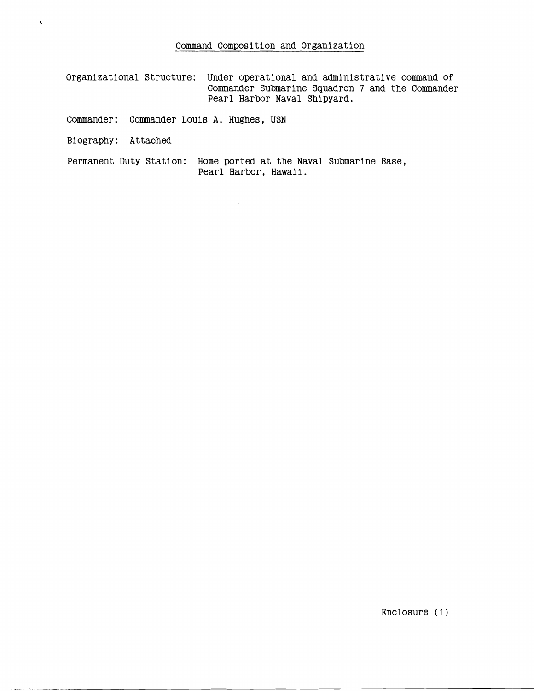Organizational Structure: Under operational and administrative command of Commander Submarine Squadron 7 and the Commander **Pearl Harbor Naval Shipyard.** 

**Commander: Commander Louis A. Hughes, USN** 

**Biography: Attached** 

 $\sim$   $\sim$ 

 $\mathbf{t}_\mathrm{c}$ 

**Permanent Duty Station: Home ported at the Naval Submarlne Base, Pearl Harbor, Hawaii.** 

**Enclosure** (1)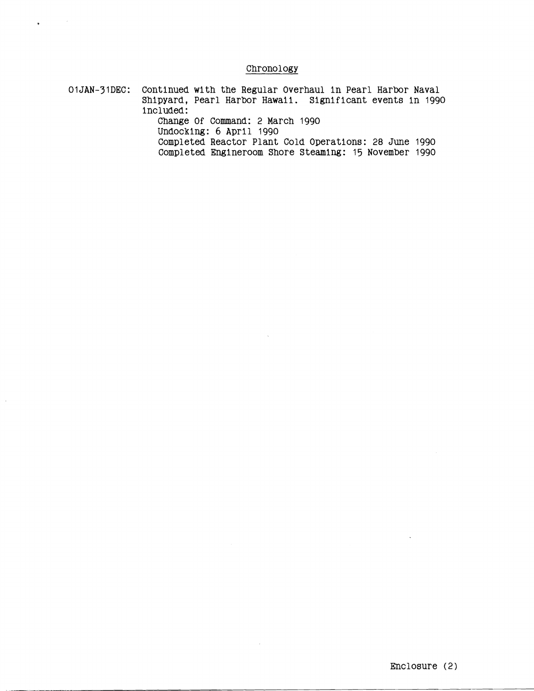## **Chronology**

 $\bar{\gamma}$ 

 $\sim$ 

**OIJAN-31DEC: Continued with the Regular Overhaul in Pearl Harbor Naval Shipyard, Pearl Harbor Hawaii. Significant events in 1990 included:** 

 $\bullet$ 

 $\bar{\beta}$ 

**Change Of Command: 2 March 1990 Undocklng: 6 April 1990 Completed Reactor Plant Cold Operations: 28 June 1990** 

**Completed Engineroom Shore Steaming:** 15 **November 1990**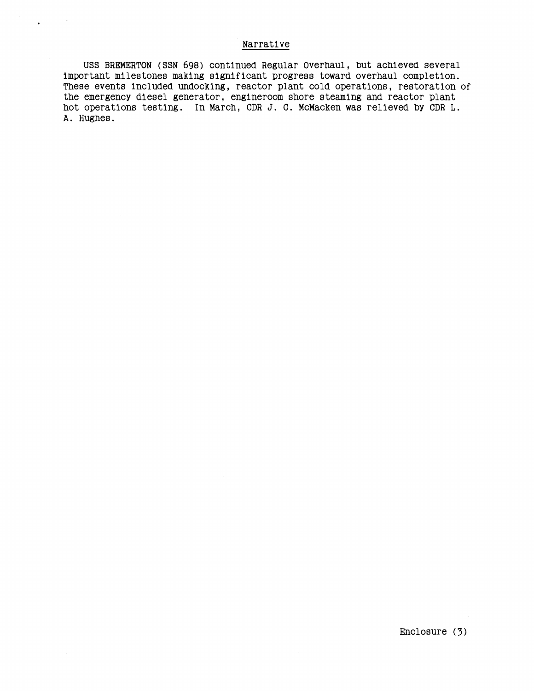## Narrative

**USS** BREMERTON **(SSN 698)** continued Regular Overhaul, but achieved several important milestones making significant progress toward overhaul completion. These events included undocking, reactor plant cold operations, restoration of the emergency diesel generator, engineroom shore steaming and reactor plant hot operations testing. In March, CDR J. C. McMacken was relieved by CDR L. **A.** Hughes.